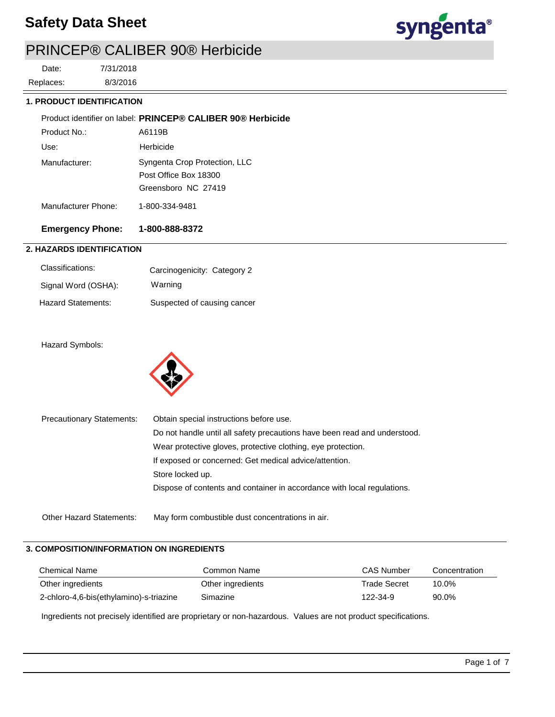

# PRINCEP® CALIBER 90® Herbicide

8/3/2016 7/31/2018 Replaces: Date:

### **1. PRODUCT IDENTIFICATION**

| <b>Emergency Phone:</b> | 1-800-888-8372                                              |
|-------------------------|-------------------------------------------------------------|
| Manufacturer Phone:     | 1-800-334-9481                                              |
|                         | Greensboro NC 27419                                         |
|                         | Post Office Box 18300                                       |
| Manufacturer:           | Syngenta Crop Protection, LLC                               |
| Use:                    | Herbicide                                                   |
| Product No.:            | A6119B                                                      |
|                         | Product identifier on label: PRINCEP® CALIBER 90® Herbicide |

# **2. HAZARDS IDENTIFICATION**

| Classifications:    | Carcinogenicity: Category 2 |
|---------------------|-----------------------------|
| Signal Word (OSHA): | Warning                     |
| Hazard Statements:  | Suspected of causing cancer |

### Hazard Symbols:



| <b>Precautionary Statements:</b> | Obtain special instructions before use.                                   |  |  |  |
|----------------------------------|---------------------------------------------------------------------------|--|--|--|
|                                  | Do not handle until all safety precautions have been read and understood. |  |  |  |
|                                  | Wear protective gloves, protective clothing, eye protection.              |  |  |  |
|                                  | If exposed or concerned: Get medical advice/attention.                    |  |  |  |
|                                  | Store locked up.                                                          |  |  |  |
|                                  | Dispose of contents and container in accordance with local regulations.   |  |  |  |
|                                  |                                                                           |  |  |  |
| <b>Other Hazard Statements:</b>  | May form combustible dust concentrations in air.                          |  |  |  |

# **3. COMPOSITION/INFORMATION ON INGREDIENTS**

| <b>Chemical Name</b>                    | Common Name       | CAS Number          | Concentration |
|-----------------------------------------|-------------------|---------------------|---------------|
| Other ingredients                       | Other ingredients | <b>Trade Secret</b> | 10.0%         |
| 2-chloro-4,6-bis(ethylamino)-s-triazine | Simazine          | 122-34-9            | 90.0%         |

Ingredients not precisely identified are proprietary or non-hazardous. Values are not product specifications.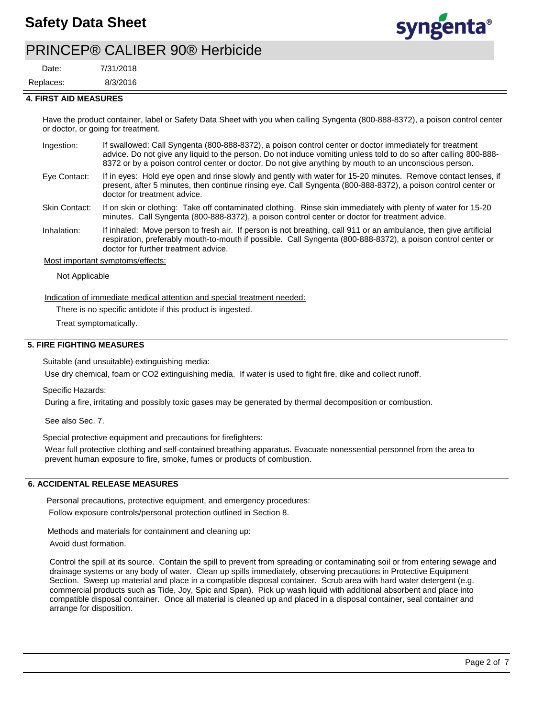

# PRINCEP® CALIBER 90® Herbicide

7/31/2018 Date:

8/3/2016 Replaces:

### **4. FIRST AID MEASURES**

Have the product container, label or Safety Data Sheet with you when calling Syngenta (800-888-8372), a poison control center or doctor, or going for treatment.

- If swallowed: Call Syngenta (800-888-8372), a poison control center or doctor immediately for treatment advice. Do not give any liquid to the person. Do not induce vomiting unless told to do so after calling 800-888- 8372 or by a poison control center or doctor. Do not give anything by mouth to an unconscious person. Ingestion:
- If in eyes: Hold eye open and rinse slowly and gently with water for 15-20 minutes. Remove contact lenses, if present, after 5 minutes, then continue rinsing eye. Call Syngenta (800-888-8372), a poison control center or doctor for treatment advice. Eye Contact:
- If on skin or clothing: Take off contaminated clothing. Rinse skin immediately with plenty of water for 15-20 minutes. Call Syngenta (800-888-8372), a poison control center or doctor for treatment advice. Skin Contact:
- If inhaled: Move person to fresh air. If person is not breathing, call 911 or an ambulance, then give artificial respiration, preferably mouth-to-mouth if possible. Call Syngenta (800-888-8372), a poison control center or doctor for further treatment advice. Inhalation:

#### Most important symptoms/effects:

Not Applicable

Indication of immediate medical attention and special treatment needed:

There is no specific antidote if this product is ingested.

Treat symptomatically.

### **5. FIRE FIGHTING MEASURES**

Suitable (and unsuitable) extinguishing media:

Use dry chemical, foam or CO2 extinguishing media. If water is used to fight fire, dike and collect runoff.

Specific Hazards:

During a fire, irritating and possibly toxic gases may be generated by thermal decomposition or combustion.

See also Sec. 7.

Special protective equipment and precautions for firefighters:

Wear full protective clothing and self-contained breathing apparatus. Evacuate nonessential personnel from the area to prevent human exposure to fire, smoke, fumes or products of combustion.

### **6. ACCIDENTAL RELEASE MEASURES**

Personal precautions, protective equipment, and emergency procedures:

Follow exposure controls/personal protection outlined in Section 8.

Methods and materials for containment and cleaning up:

Avoid dust formation.

Control the spill at its source. Contain the spill to prevent from spreading or contaminating soil or from entering sewage and drainage systems or any body of water. Clean up spills immediately, observing precautions in Protective Equipment Section. Sweep up material and place in a compatible disposal container. Scrub area with hard water detergent (e.g. commercial products such as Tide, Joy, Spic and Span). Pick up wash liquid with additional absorbent and place into compatible disposal container. Once all material is cleaned up and placed in a disposal container, seal container and arrange for disposition.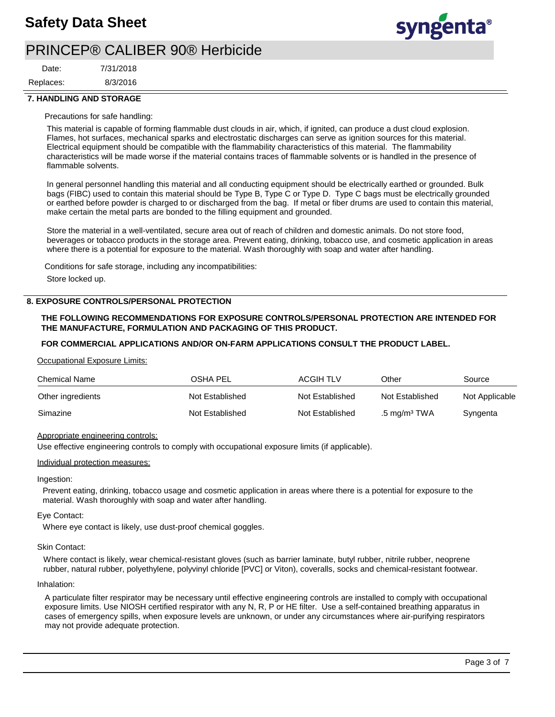

# PRINCEP® CALIBER 90® Herbicide

8/3/2016 7/31/2018 Replaces: Date:

### **7. HANDLING AND STORAGE**

#### Precautions for safe handling:

This material is capable of forming flammable dust clouds in air, which, if ignited, can produce a dust cloud explosion. Flames, hot surfaces, mechanical sparks and electrostatic discharges can serve as ignition sources for this material. Electrical equipment should be compatible with the flammability characteristics of this material. The flammability characteristics will be made worse if the material contains traces of flammable solvents or is handled in the presence of flammable solvents.

In general personnel handling this material and all conducting equipment should be electrically earthed or grounded. Bulk bags (FIBC) used to contain this material should be Type B, Type C or Type D. Type C bags must be electrically grounded or earthed before powder is charged to or discharged from the bag. If metal or fiber drums are used to contain this material, make certain the metal parts are bonded to the filling equipment and grounded.

Store the material in a well-ventilated, secure area out of reach of children and domestic animals. Do not store food, beverages or tobacco products in the storage area. Prevent eating, drinking, tobacco use, and cosmetic application in areas where there is a potential for exposure to the material. Wash thoroughly with soap and water after handling.

Conditions for safe storage, including any incompatibilities: Store locked up.

#### **8. EXPOSURE CONTROLS/PERSONAL PROTECTION**

### **THE FOLLOWING RECOMMENDATIONS FOR EXPOSURE CONTROLS/PERSONAL PROTECTION ARE INTENDED FOR THE MANUFACTURE, FORMULATION AND PACKAGING OF THIS PRODUCT.**

#### **FOR COMMERCIAL APPLICATIONS AND/OR ON-FARM APPLICATIONS CONSULT THE PRODUCT LABEL.**

#### Occupational Exposure Limits:

| <b>Chemical Name</b> | OSHA PEL        | <b>ACGIH TLV</b> | Other                    | Source         |
|----------------------|-----------------|------------------|--------------------------|----------------|
| Other ingredients    | Not Established | Not Established  | Not Established          | Not Applicable |
| Simazine             | Not Established | Not Established  | .5 mg/m <sup>3</sup> TWA | Syngenta       |

#### Appropriate engineering controls:

Use effective engineering controls to comply with occupational exposure limits (if applicable).

#### Individual protection measures:

#### Ingestion:

Prevent eating, drinking, tobacco usage and cosmetic application in areas where there is a potential for exposure to the material. Wash thoroughly with soap and water after handling.

#### Eye Contact:

Where eye contact is likely, use dust-proof chemical goggles.

#### Skin Contact:

Where contact is likely, wear chemical-resistant gloves (such as barrier laminate, butyl rubber, nitrile rubber, neoprene rubber, natural rubber, polyethylene, polyvinyl chloride [PVC] or Viton), coveralls, socks and chemical-resistant footwear.

#### Inhalation:

A particulate filter respirator may be necessary until effective engineering controls are installed to comply with occupational exposure limits. Use NIOSH certified respirator with any N, R, P or HE filter. Use a self-contained breathing apparatus in cases of emergency spills, when exposure levels are unknown, or under any circumstances where air-purifying respirators may not provide adequate protection.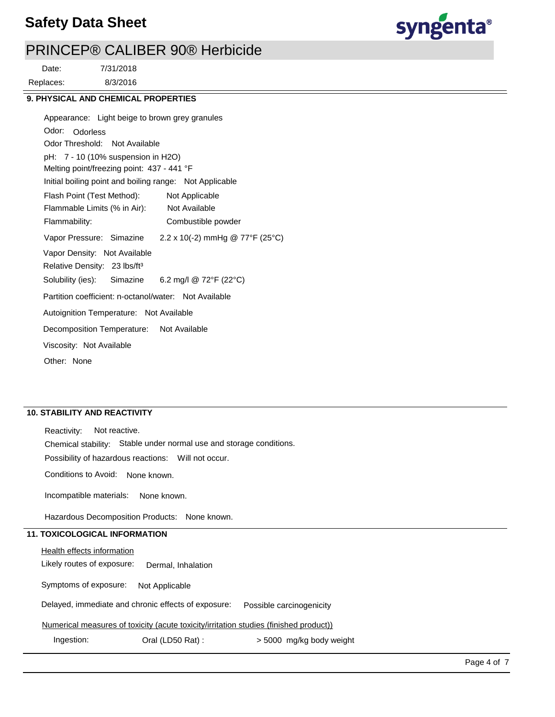

# PRINCEP® CALIBER 90® Herbicide

8/3/2016 7/31/2018 Replaces: Date:

### **9. PHYSICAL AND CHEMICAL PROPERTIES**

Odor: Odorless Appearance: Light beige to brown grey granules Vapor Pressure: Simazine Solubility (ies): pH: 7 - 10 (10% suspension in H2O) Initial boiling point and boiling range: Not Applicable Melting point/freezing point: 437 - 441 °F Odor Threshold: Not Available Not Available Flammability: Combustible powder Not Applicable Autoignition Temperature: Not Available Flash Point (Test Method): Flammable Limits (% in Air): Vapor Density: Not Available Relative Density: 23 lbs/ft<sup>3</sup> Decomposition Temperature: Not Available Viscosity: Not Available Partition coefficient: n-octanol/water: Not Available Other: None  $2.2 \times 10(-2)$  mmHg @ 77°F (25°C) Simazine 6.2 mg/l @ 72°F (22°C)

## **10. STABILITY AND REACTIVITY**

Incompatible materials: Possibility of hazardous reactions: Will not occur. Chemical stability: Stable under normal use and storage conditions. Reactivity: Not reactive. Conditions to Avoid: None known. None known.

Hazardous Decomposition Products: None known.

## **11. TOXICOLOGICAL INFORMATION**

**Health effects information** 

Likely routes of exposure: Dermal, Inhalation

Symptoms of exposure: Not Applicable

Delayed, immediate and chronic effects of exposure: Possible carcinogenicity

Numerical measures of toxicity (acute toxicity/irritation studies (finished product))

Ingestion: Oral (LD50 Rat) : > 5000 mg/kg body weight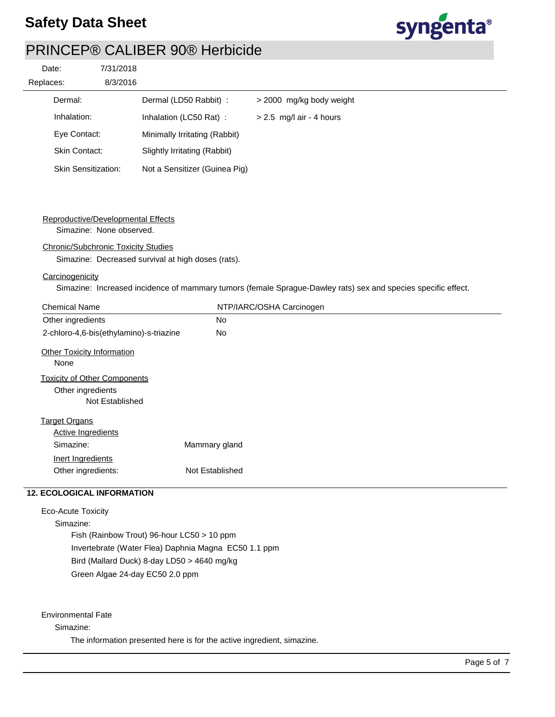

# PRINCEP® CALIBER 90® Herbicide

| Date:     |                            | 7/31/2018 |                               |                            |
|-----------|----------------------------|-----------|-------------------------------|----------------------------|
| Replaces: |                            | 8/3/2016  |                               |                            |
|           | Dermal:                    |           | Dermal (LD50 Rabbit) :        | > 2000 mg/kg body weight   |
|           | Inhalation:                |           | Inhalation (LC50 Rat):        | $> 2.5$ mg/l air - 4 hours |
|           | Eye Contact:               |           | Minimally Irritating (Rabbit) |                            |
|           | <b>Skin Contact:</b>       |           | Slightly Irritating (Rabbit)  |                            |
|           | <b>Skin Sensitization:</b> |           | Not a Sensitizer (Guinea Pig) |                            |

### Reproductive/Developmental Effects

Simazine: None observed.

#### Chronic/Subchronic Toxicity Studies

Simazine: Decreased survival at high doses (rats).

### **Carcinogenicity**

Simazine: Increased incidence of mammary tumors (female Sprague-Dawley rats) sex and species specific effect.

| <b>Chemical Name</b>                                                        | NTP/IARC/OSHA Carcinogen |
|-----------------------------------------------------------------------------|--------------------------|
| Other ingredients                                                           | <b>No</b>                |
| 2-chloro-4,6-bis(ethylamino)-s-triazine                                     | <b>No</b>                |
| <b>Other Toxicity Information</b><br>None                                   |                          |
| <b>Toxicity of Other Components</b><br>Other ingredients<br>Not Established |                          |
| <b>Target Organs</b>                                                        |                          |
| <b>Active Ingredients</b>                                                   |                          |
| Simazine:                                                                   | Mammary gland            |
| Inert Ingredients                                                           |                          |
| Other ingredients:                                                          | Not Established          |

# **12. ECOLOGICAL INFORMATION**

Eco-Acute Toxicity

Simazine: Fish (Rainbow Trout) 96-hour LC50 > 10 ppm Invertebrate (Water Flea) Daphnia Magna EC50 1.1 ppm Bird (Mallard Duck) 8-day LD50 > 4640 mg/kg Green Algae 24-day EC50 2.0 ppm

Environmental Fate

Simazine:

The information presented here is for the active ingredient, simazine.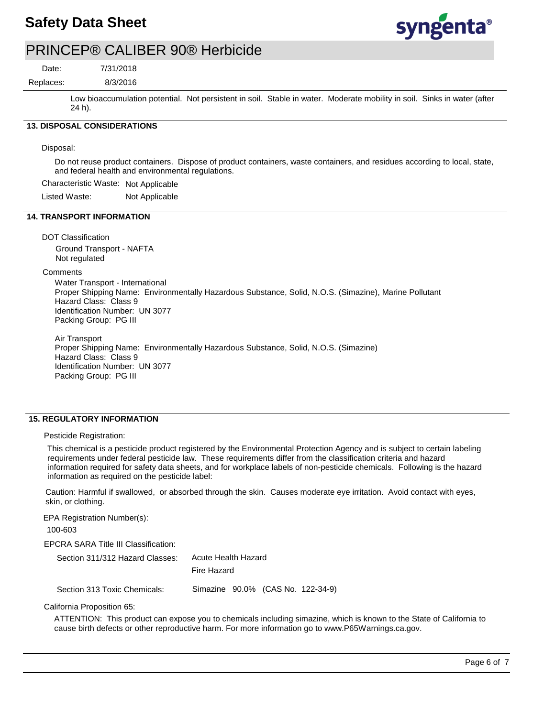

# PRINCEP® CALIBER 90® Herbicide

Date:

8/3/2016 7/31/2018

Replaces:

Low bioaccumulation potential. Not persistent in soil. Stable in water. Moderate mobility in soil. Sinks in water (after 24 h).

# **13. DISPOSAL CONSIDERATIONS**

Disposal:

Do not reuse product containers. Dispose of product containers, waste containers, and residues according to local, state, and federal health and environmental regulations.

Characteristic Waste: Not Applicable

Listed Waste: Not Applicable

#### **14. TRANSPORT INFORMATION**

DOT Classification Ground Transport - NAFTA Not regulated

#### **Comments**

Water Transport - International Proper Shipping Name: Environmentally Hazardous Substance, Solid, N.O.S. (Simazine), Marine Pollutant Hazard Class: Class 9 Identification Number: UN 3077 Packing Group: PG III

Air Transport Proper Shipping Name: Environmentally Hazardous Substance, Solid, N.O.S. (Simazine) Hazard Class: Class 9 Identification Number: UN 3077 Packing Group: PG III

### **15. REGULATORY INFORMATION**

Pesticide Registration:

This chemical is a pesticide product registered by the Environmental Protection Agency and is subject to certain labeling requirements under federal pesticide law. These requirements differ from the classification criteria and hazard information required for safety data sheets, and for workplace labels of non-pesticide chemicals. Following is the hazard information as required on the pesticide label:

Caution: Harmful if swallowed, or absorbed through the skin. Causes moderate eye irritation. Avoid contact with eyes, skin, or clothing.

EPA Registration Number(s): 100-603

EPCRA SARA Title III Classification:

| Section 311/312 Hazard Classes: | Acute Health Hazard               |  |  |  |
|---------------------------------|-----------------------------------|--|--|--|
|                                 | Fire Hazard                       |  |  |  |
| Section 313 Toxic Chemicals:    | Simazine 90.0% (CAS No. 122-34-9) |  |  |  |

California Proposition 65:

ATTENTION: This product can expose you to chemicals including simazine, which is known to the State of California to cause birth defects or other reproductive harm. For more information go to www.P65Warnings.ca.gov.